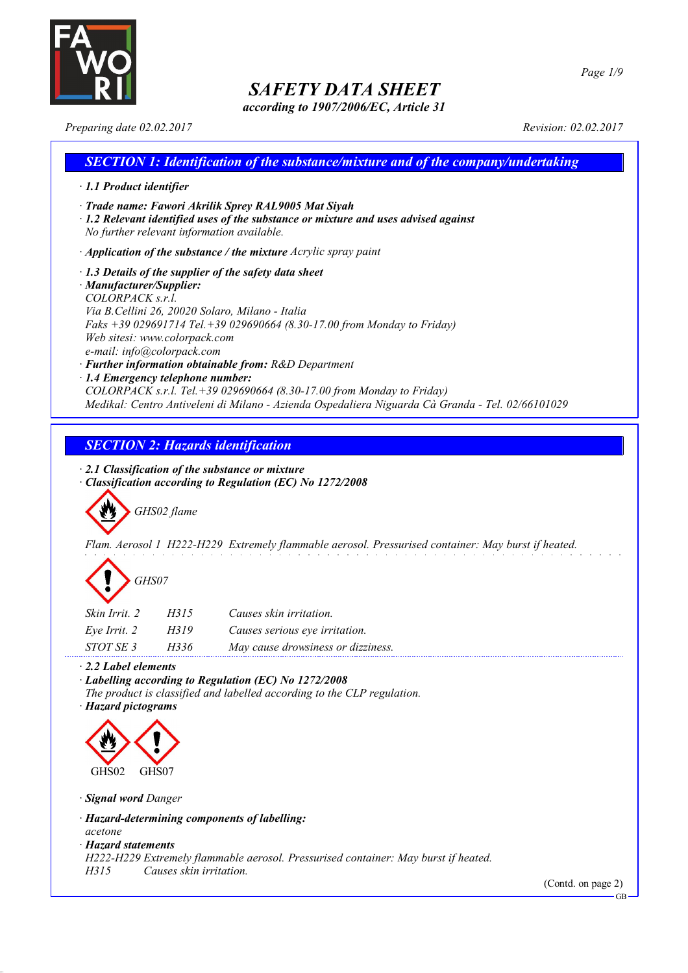

*according to 1907/2006/EC, Article 31*

*Preparing date 02.02.2017 Revision: 02.02.2017*

## *SECTION 1: Identification of the substance/mixture and of the company/undertaking · 1.1 Product identifier · Trade name: Fawori Akrilik Sprey RAL9005 Mat Siyah · 1.2 Relevant identified uses of the substance or mixture and uses advised against No further relevant information available. · Application of the substance / the mixture Acrylic spray paint · 1.3 Details of the supplier of the safety data sheet · Manufacturer/Supplier: COLORPACK s.r.l. Via B.Cellini 26, 20020 Solaro, Milano - Italia Faks +39 029691714 Tel.+39 029690664 (8.30-17.00 from Monday to Friday) Web sitesi: www.colorpack.com*

*e-mail: info@colorpack.com*

*· Further information obtainable from: R&D Department*

*· 1.4 Emergency telephone number:*

*COLORPACK s.r.l. Tel.+39 029690664 (8.30-17.00 from Monday to Friday) Medikal: Centro Antiveleni di Milano - Azienda Ospedaliera Niguarda Cà Granda - Tel. 02/66101029*

## *SECTION 2: Hazards identification*

*· 2.1 Classification of the substance or mixture*

*· Classification according to Regulation (EC) No 1272/2008*

*GHS02 flame*

*Flam. Aerosol 1 H222-H229 Extremely flammable aerosol. Pressurised container: May burst if heated.*

# *GHS07*

| Skin Irrit, 2    | H315 | Causes skin irritation.            |
|------------------|------|------------------------------------|
| Eve Irrit. 2     | H319 | Causes serious eye irritation.     |
| <i>STOT SE 3</i> | H336 | May cause drowsiness or dizziness. |

*· 2.2 Label elements*

*· Labelling according to Regulation (EC) No 1272/2008*

*The product is classified and labelled according to the CLP regulation.*

*· Hazard pictograms*



*· Signal word Danger*

*· Hazard-determining components of labelling:*

*acetone*

*· Hazard statements*

*H222-H229 Extremely flammable aerosol. Pressurised container: May burst if heated.*

*H315 Causes skin irritation.*

(Contd. on page 2)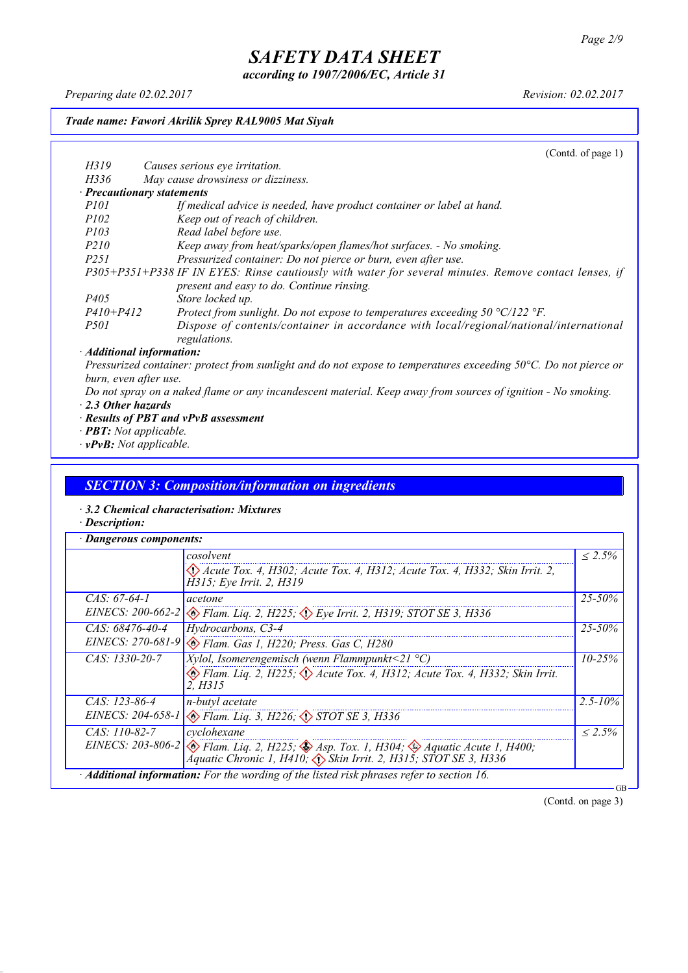*according to 1907/2006/EC, Article 31*

*Preparing date 02.02.2017 Revision: 02.02.2017*

#### *Trade name: Fawori Akrilik Sprey RAL9005 Mat Siyah*

(Contd. of page 1) *H319 Causes serious eye irritation. H336 May cause drowsiness or dizziness. · Precautionary statements P101 If medical advice is needed, have product container or label at hand. P102 Keep out of reach of children. P103 Read label before use. P210 Keep away from heat/sparks/open flames/hot surfaces. - No smoking. P251 Pressurized container: Do not pierce or burn, even after use. P305+P351+P338 IF IN EYES: Rinse cautiously with water for several minutes. Remove contact lenses, if present and easy to do. Continue rinsing. P405 Store locked up. P410+P412 Protect from sunlight. Do not expose to temperatures exceeding 50 °C/122 °F. P501 Dispose of contents/container in accordance with local/regional/national/international regulations. · Additional information:*

Pressurized container: protect from sunlight and do not expose to temperatures exceeding 50°C. Do not pierce or *burn, even after use.*

- Do not spray on a naked flame or any incandescent material. Keep away from sources of ignition No smoking. *· 2.3 Other hazards*
- *· Results of PBT and vPvB assessment*
- *· PBT: Not applicable.*
- *· vPvB: Not applicable.*

#### *SECTION 3: Composition/information on ingredients*

- *· 3.2 Chemical characterisation: Mixtures*
- *· Description:*

|                     | cosolvent                                                                                                                                                                                        | $\leq 2.5\%$ |  |
|---------------------|--------------------------------------------------------------------------------------------------------------------------------------------------------------------------------------------------|--------------|--|
|                     | $\langle \rangle$ Acute Tox. 4, H302; Acute Tox. 4, H312; Acute Tox. 4, H332; Skin Irrit. 2,<br>H315; Eye Irrit. 2, H319                                                                         |              |  |
| $CAS: 67-64-1$      | acetone                                                                                                                                                                                          | $25 - 50\%$  |  |
| EINECS: $200-662-2$ | $\otimes$ Flam. Liq. 2, H225; $\otimes$ Eye Irrit. 2, H319; STOT SE 3, H336                                                                                                                      |              |  |
| $CAS: 68476-40-4$   | Hydrocarbons, C3-4                                                                                                                                                                               | $25 - 50\%$  |  |
|                     | EINECS: 270-681-9 & Flam. Gas 1, H220; Press. Gas C, H280                                                                                                                                        |              |  |
| $CAS: 1330-20-7$    | <i>Xylol, Isomerengemisch (wenn Flammpunkt</i> <21 $^{\circ}$ C)                                                                                                                                 | $10 - 25\%$  |  |
|                     | Elam. Liq. 2, H225; $\Diamond$ Acute Tox. 4, H312; Acute Tox. 4, H332; Skin Irrit.<br>2. H315                                                                                                    |              |  |
| $CAS: 123-86-4$     | n-butyl acetate                                                                                                                                                                                  | $2.5 - 10\%$ |  |
|                     | EINECS: 204-658-1 & Flam. Liq. 3, H226; STOT SE 3, H336                                                                                                                                          |              |  |
| $CAS: 110-82-7$     | cyclohexane                                                                                                                                                                                      | $\leq 2.5\%$ |  |
|                     | EINECS: 203-806-2 $\otimes$ Flam. Liq. 2, H225; $\otimes$ Asp. Tox. 1, H304; $\otimes$ Aquatic Acute 1, H400;<br>Áquatic Chronic 1, H410, $\langle \rangle$ Skin Irrit. 2, H315; STOT SE 3, H336 |              |  |

(Contd. on page 3)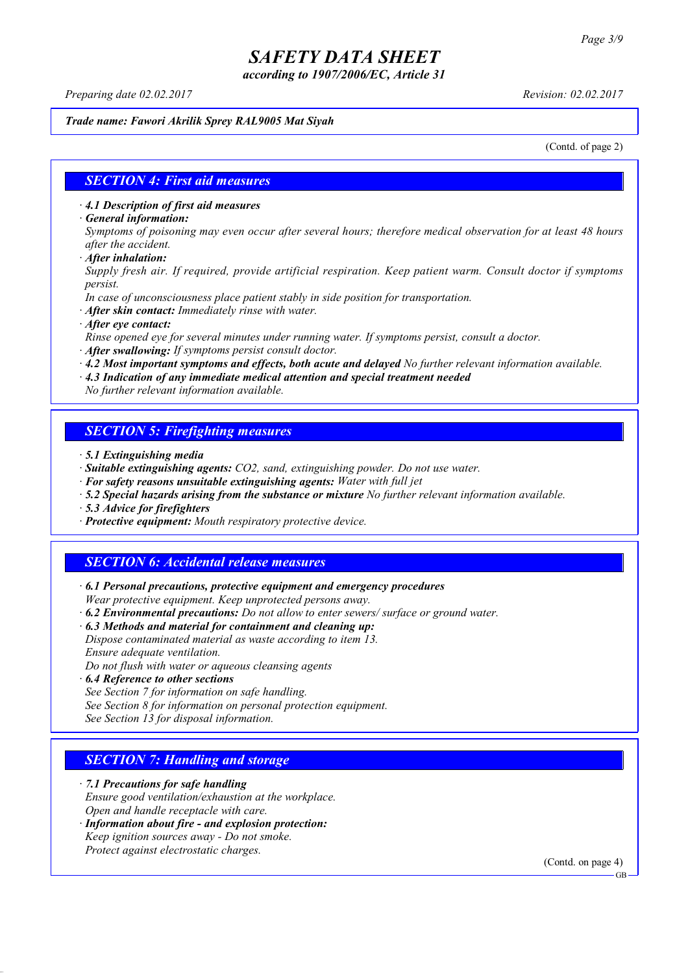*according to 1907/2006/EC, Article 31*

*Preparing date 02.02.2017 Revision: 02.02.2017*

#### *Trade name: Fawori Akrilik Sprey RAL9005 Mat Siyah*

(Contd. of page 2)

#### *SECTION 4: First aid measures*

*· 4.1 Description of first aid measures*

*· General information:*

Symptoms of poisoning may even occur after several hours; therefore medical observation for at least 48 hours *after the accident.*

*· After inhalation:*

*Supply fresh air. If required, provide artificial respiration. Keep patient warm. Consult doctor if symptoms persist.*

*In case of unconsciousness place patient stably in side position for transportation.*

- *· After skin contact: Immediately rinse with water.*
- *· After eye contact:*

*Rinse opened eye for several minutes under running water. If symptoms persist, consult a doctor.*

*· After swallowing: If symptoms persist consult doctor.*

*· 4.2 Most important symptoms and effects, both acute and delayed No further relevant information available.*

*· 4.3 Indication of any immediate medical attention and special treatment needed*

*No further relevant information available.*

#### *SECTION 5: Firefighting measures*

- *· 5.1 Extinguishing media*
- *· Suitable extinguishing agents: CO2, sand, extinguishing powder. Do not use water.*
- *· For safety reasons unsuitable extinguishing agents: Water with full jet*
- *· 5.2 Special hazards arising from the substance or mixture No further relevant information available.*
- *· 5.3 Advice for firefighters*
- *· Protective equipment: Mouth respiratory protective device.*

#### *SECTION 6: Accidental release measures*

*· 6.1 Personal precautions, protective equipment and emergency procedures Wear protective equipment. Keep unprotected persons away.*

*· 6.2 Environmental precautions: Do not allow to enter sewers/ surface or ground water.*

*· 6.3 Methods and material for containment and cleaning up:*

*Dispose contaminated material as waste according to item 13. Ensure adequate ventilation.*

*Do not flush with water or aqueous cleansing agents*

- *· 6.4 Reference to other sections*
- *See Section 7 for information on safe handling.*

*See Section 8 for information on personal protection equipment.*

*See Section 13 for disposal information.*

#### *SECTION 7: Handling and storage*

*· 7.1 Precautions for safe handling*

*Ensure good ventilation/exhaustion at the workplace.*

*Open and handle receptacle with care.*

*· Information about fire - and explosion protection: Keep ignition sources away - Do not smoke.*

*Protect against electrostatic charges.*

(Contd. on page 4)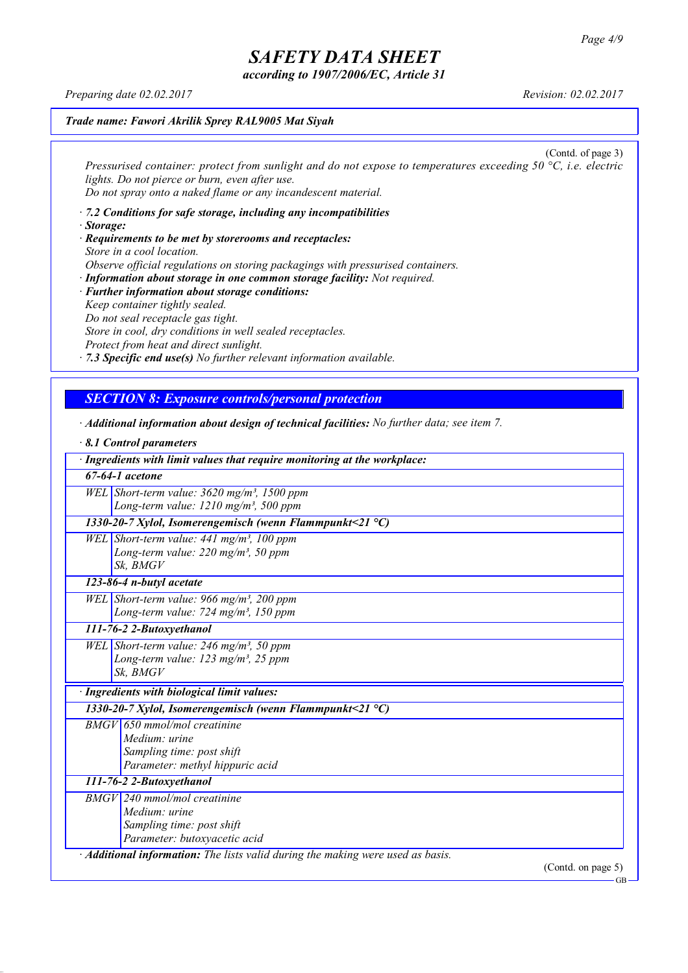*according to 1907/2006/EC, Article 31*

*Preparing date 02.02.2017 Revision: 02.02.2017*

#### *Trade name: Fawori Akrilik Sprey RAL9005 Mat Siyah*

(Contd. of page 3) *Pressurised container: protect from sunlight and do not expose to temperatures exceeding 50 °C, i.e. electric lights. Do not pierce or burn, even after use. Do not spray onto a naked flame or any incandescent material.*

- *· 7.2 Conditions for safe storage, including any incompatibilities · Storage:*
- *· Requirements to be met by storerooms and receptacles: Store in a cool location. Observe official regulations on storing packagings with pressurised containers.*
- *· Information about storage in one common storage facility: Not required. · Further information about storage conditions: Keep container tightly sealed. Do not seal receptacle gas tight. Store in cool, dry conditions in well sealed receptacles. Protect from heat and direct sunlight.*

*· 7.3 Specific end use(s) No further relevant information available.*

## *SECTION 8: Exposure controls/personal protection*

*· Additional information about design of technical facilities: No further data; see item 7.*

| 8.1 Control parameters                                                                       |
|----------------------------------------------------------------------------------------------|
| · Ingredients with limit values that require monitoring at the workplace:                    |
| $67-64-1$ acetone                                                                            |
| WEL Short-term value: $3620$ mg/m <sup>3</sup> , 1500 ppm                                    |
| Long-term value: $1210$ mg/m <sup>3</sup> , 500 ppm                                          |
| 1330-20-7 Xylol, Isomerengemisch (wenn Flammpunkt<21 $^{\circ}$ C)                           |
| WEL Short-term value: $441$ mg/m <sup>3</sup> , 100 ppm                                      |
| Long-term value: $220$ mg/m <sup>3</sup> , 50 ppm                                            |
| Sk. BMGV                                                                                     |
| 123-86-4 n-butyl acetate                                                                     |
| WEL Short-term value: 966 mg/m <sup>3</sup> , 200 ppm                                        |
| Long-term value: 724 mg/m <sup>3</sup> , 150 ppm                                             |
| 111-76-2 2-Butoxyethanol                                                                     |
| WEL Short-term value: 246 mg/m <sup>3</sup> , 50 ppm                                         |
| Long-term value: 123 mg/m <sup>3</sup> , 25 ppm                                              |
| Sk. BMGV                                                                                     |
| · Ingredients with biological limit values:                                                  |
| 1330-20-7 Xylol, Isomerengemisch (wenn Flammpunkt<21 $^{\circ}$ C)                           |
| $BMGV$ 650 mmol/mol creatinine                                                               |
| Medium: urine                                                                                |
| Sampling time: post shift                                                                    |
| Parameter: methyl hippuric acid                                                              |
| 111-76-2 2-Butoxyethanol                                                                     |
| $BMGV$ 240 mmol/mol creatinine                                                               |
| Medium: urine                                                                                |
| Sampling time: post shift                                                                    |
| Parameter: butoxyacetic acid                                                                 |
| $\cdot$ <b>Additional information:</b> The lists valid during the making were used as basis. |
| (Contd. on page $5$ )                                                                        |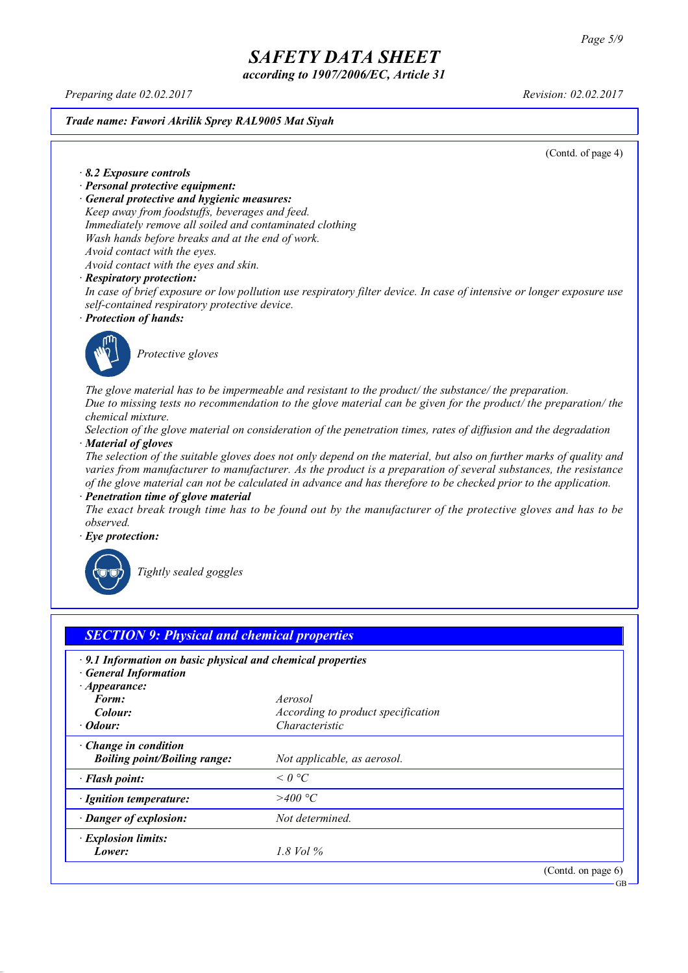*according to 1907/2006/EC, Article 31*

*Preparing date 02.02.2017 Revision: 02.02.2017*

*Trade name: Fawori Akrilik Sprey RAL9005 Mat Siyah*

(Contd. of page 4)

*· 8.2 Exposure controls*

- *· Personal protective equipment:*
- *· General protective and hygienic measures:*

*Keep away from foodstuffs, beverages and feed. Immediately remove all soiled and contaminated clothing*

*Wash hands before breaks and at the end of work.*

*Avoid contact with the eyes. Avoid contact with the eyes and skin.*

#### *· Respiratory protection:*

In case of brief exposure or low pollution use respiratory filter device. In case of intensive or longer exposure use *self-contained respiratory protective device.*

*· Protection of hands:*



*Protective gloves*

*The glove material has to be impermeable and resistant to the product/ the substance/ the preparation.* Due to missing tests no recommendation to the glove material can be given for the product/ the preparation/ the *chemical mixture.*

Selection of the glove material on consideration of the penetration times, rates of diffusion and the degradation *· Material of gloves*

The selection of the suitable gloves does not only depend on the material, but also on further marks of quality and *varies from manufacturer to manufacturer. As the product is a preparation of several substances, the resistance* of the glove material can not be calculated in advance and has therefore to be checked prior to the application.

*· Penetration time of glove material*

The exact break trough time has to be found out by the manufacturer of the protective gloves and has to be *observed.*

*· Eye protection:*



*Tightly sealed goggles*

| $\cdot$ 9.1 Information on basic physical and chemical properties<br><b>General Information</b><br>$\cdot$ Appearance: |                                    |  |
|------------------------------------------------------------------------------------------------------------------------|------------------------------------|--|
| Form:                                                                                                                  | Aerosol                            |  |
| Colour:                                                                                                                | According to product specification |  |
| $\cdot$ Odour:                                                                                                         | Characteristic                     |  |
| Change in condition<br><b>Boiling point/Boiling range:</b>                                                             | Not applicable, as aerosol.        |  |
| · Flash point:                                                                                                         | $\leq$ 0 °C                        |  |
| · Ignition temperature:                                                                                                | >400 °C                            |  |
| · Danger of explosion:                                                                                                 | Not determined.                    |  |
| · Explosion limits:                                                                                                    |                                    |  |
| Lower:                                                                                                                 | $1.8$ Vol $\%$                     |  |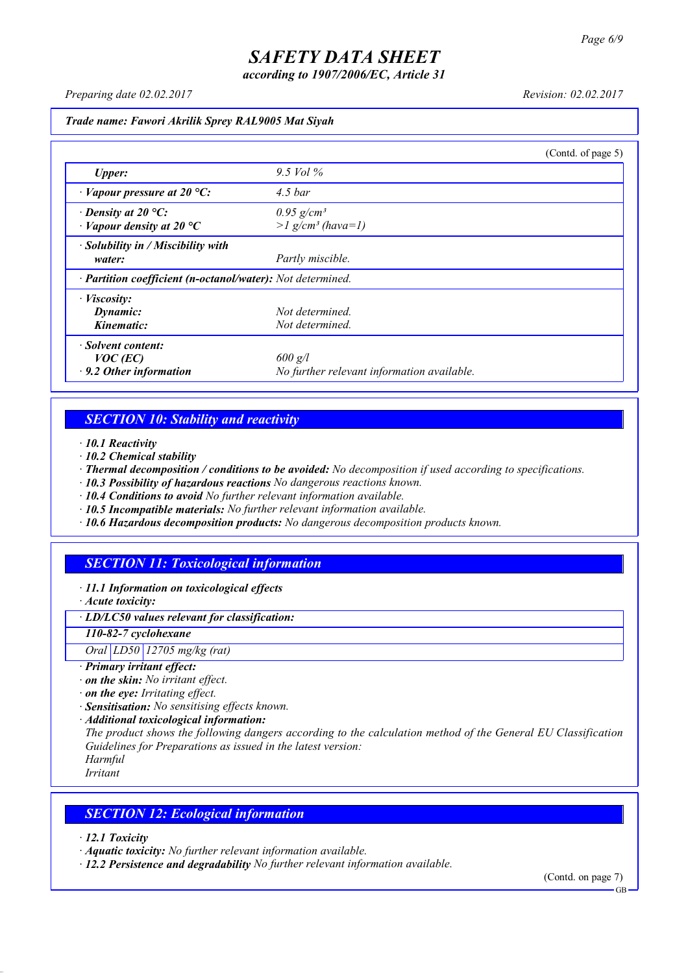*according to 1907/2006/EC, Article 31*

*Preparing date 02.02.2017 Revision: 02.02.2017*

#### *Trade name: Fawori Akrilik Sprey RAL9005 Mat Siyah*

|                                                            |                                            | (Contd. of page $5$ ) |
|------------------------------------------------------------|--------------------------------------------|-----------------------|
| Upper:                                                     | 9.5 Vol $\%$                               |                       |
| $\cdot$ Vapour pressure at 20 °C:                          | $4.5\,bar$                                 |                       |
| $\cdot$ Density at 20 °C:                                  | $0.95$ g/cm <sup>3</sup>                   |                       |
| $\cdot$ Vapour density at 20 °C                            | $>l$ g/cm <sup>3</sup> (hava=1)            |                       |
| · Solubility in / Miscibility with                         |                                            |                       |
| water:                                                     | Partly miscible.                           |                       |
| · Partition coefficient (n-octanol/water): Not determined. |                                            |                       |
| · <i>Viscosity</i> :                                       |                                            |                       |
| Dynamic:                                                   | Not determined.                            |                       |
| Kinematic:                                                 | Not determined.                            |                       |
| · Solvent content:                                         |                                            |                       |
| $VOC$ (EC)                                                 | $600$ g/l                                  |                       |
| $\cdot$ 9.2 Other information                              | No further relevant information available. |                       |

## *SECTION 10: Stability and reactivity*

- *· 10.1 Reactivity*
- *· 10.2 Chemical stability*
- *· Thermal decomposition / conditions to be avoided: No decomposition if used according to specifications.*
- *· 10.3 Possibility of hazardous reactions No dangerous reactions known.*
- *· 10.4 Conditions to avoid No further relevant information available.*
- *· 10.5 Incompatible materials: No further relevant information available.*
- *· 10.6 Hazardous decomposition products: No dangerous decomposition products known.*

## *SECTION 11: Toxicological information*

- *· 11.1 Information on toxicological effects*
- *· Acute toxicity:*

#### *· LD/LC50 values relevant for classification:*

#### *110-82-7 cyclohexane*

*Oral LD50 12705 mg/kg (rat)*

#### *· Primary irritant effect:*

- *· on the skin: No irritant effect.*
- *· on the eye: Irritating effect.*
- *· Sensitisation: No sensitising effects known.*
- *· Additional toxicological information:*

*The product shows the following dangers according to the calculation method of the General EU Classification Guidelines for Preparations as issued in the latest version:*

*Harmful*

*Irritant*

## *SECTION 12: Ecological information*

*· 12.1 Toxicity*

- *· Aquatic toxicity: No further relevant information available.*
- *· 12.2 Persistence and degradability No further relevant information available.*

(Contd. on page 7)  $\overline{G}$ B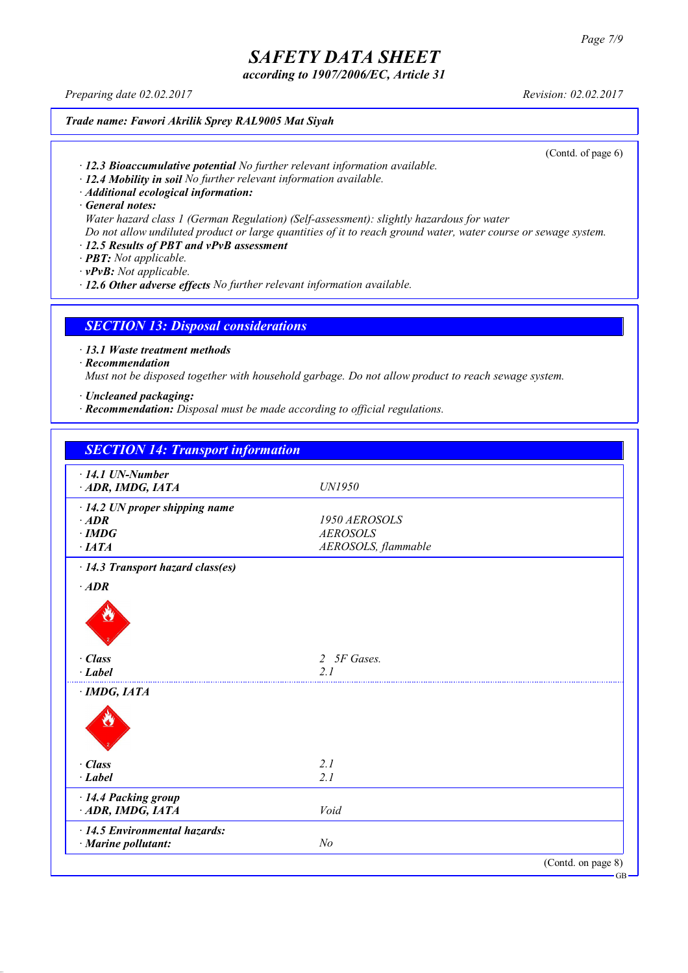*according to 1907/2006/EC, Article 31*

*Preparing date 02.02.2017 Revision: 02.02.2017*

*Trade name: Fawori Akrilik Sprey RAL9005 Mat Siyah*

(Contd. of page 6)

- *· 12.3 Bioaccumulative potential No further relevant information available.*
- *· 12.4 Mobility in soil No further relevant information available.*
- *· Additional ecological information:*

*· General notes:*

*Water hazard class 1 (German Regulation) (Self-assessment): slightly hazardous for water*

Do not allow undiluted product or large quantities of it to reach ground water, water course or sewage system.

- *· 12.5 Results of PBT and vPvB assessment*
- *· PBT: Not applicable.*
- *· vPvB: Not applicable.*
- *· 12.6 Other adverse effects No further relevant information available.*

*SECTION 13: Disposal considerations*

*· 13.1 Waste treatment methods*

*· Recommendation*

*Must not be disposed together with household garbage. Do not allow product to reach sewage system.*

*· Uncleaned packaging:*

*· Recommendation: Disposal must be made according to official regulations.*

| <b>SECTION 14: Transport information</b> |                     |  |
|------------------------------------------|---------------------|--|
| $\cdot$ 14.1 UN-Number                   |                     |  |
| ADR, IMDG, IATA                          | UN1950              |  |
| $\cdot$ 14.2 UN proper shipping name     |                     |  |
| $·$ <i>ADR</i>                           | 1950 AEROSOLS       |  |
| $\cdot$ IMDG                             | <b>AEROSOLS</b>     |  |
| $\cdot$ IATA                             | AEROSOLS, flammable |  |
| $\cdot$ 14.3 Transport hazard class(es)  |                     |  |
| $·$ <i>ADR</i>                           |                     |  |
|                                          |                     |  |
|                                          |                     |  |
|                                          |                     |  |
| $\cdot$ Class                            | 2 5F Gases.         |  |
| $\cdot$ Label                            | 2.1                 |  |
| $\cdot$ IMDG, IATA                       |                     |  |
|                                          |                     |  |
|                                          |                     |  |
|                                          |                     |  |
|                                          |                     |  |
| $\cdot$ Class                            | 2.1                 |  |
| $\cdot$ Label                            | 2.1                 |  |
| · 14.4 Packing group                     |                     |  |
| ADR, IMDG, IATA                          | Void                |  |
| $\cdot$ 14.5 Environmental hazards:      |                     |  |
| · Marine pollutant:                      | N <sub>o</sub>      |  |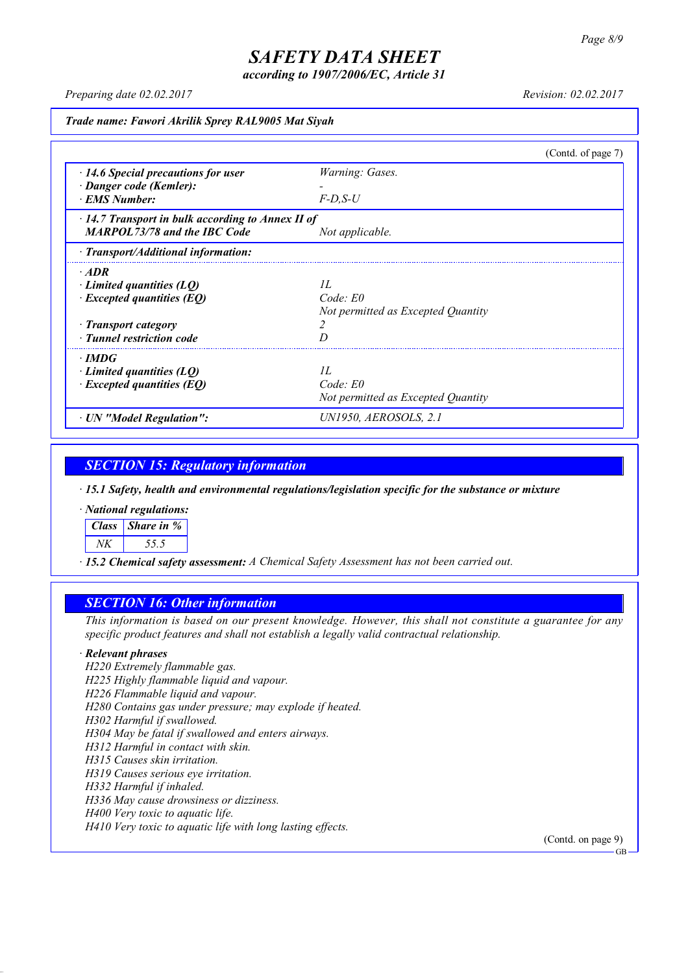*according to 1907/2006/EC, Article 31*

*Preparing date 02.02.2017 Revision: 02.02.2017*

*Trade name: Fawori Akrilik Sprey RAL9005 Mat Siyah*

|                                                         | (Contd. of page 7)                 |  |
|---------------------------------------------------------|------------------------------------|--|
| $\cdot$ 14.6 Special precautions for user               | Warning: Gases.                    |  |
| · Danger code (Kemler):                                 |                                    |  |
| · EMS Number:                                           | $F$ -D.S-U                         |  |
| $\cdot$ 14.7 Transport in bulk according to Annex II of |                                    |  |
| <b>MARPOL73/78 and the IBC Code</b>                     | Not applicable.                    |  |
| $\cdot$ Transport/Additional information:               |                                    |  |
| $\cdot$ ADR                                             |                                    |  |
| $\cdot$ Limited quantities (LQ)                         | II.                                |  |
| $\cdot$ Excepted quantities (EQ)                        | Code: E0                           |  |
|                                                         | Not permitted as Excepted Quantity |  |
| · Transport category                                    |                                    |  |
| · Tunnel restriction code                               |                                    |  |
| $\cdot$ IMDG                                            |                                    |  |
| Limited quantities $(LQ)$                               | II.                                |  |
| $\cdot$ Excepted quantities (EQ)                        | Code: E0                           |  |
|                                                         | Not permitted as Excepted Quantity |  |
| · UN "Model Regulation":                                | UN1950, AEROSOLS, 2.1              |  |

*SECTION 15: Regulatory information*

*· 15.1 Safety, health and environmental regulations/legislation specific for the substance or mixture*

*· National regulations:*

| Class Share in % |
|------------------|
|                  |

*· 15.2 Chemical safety assessment: A Chemical Safety Assessment has not been carried out.*

#### *SECTION 16: Other information*

This information is based on our present knowledge. However, this shall not constitute a guarantee for any *specific product features and shall not establish a legally valid contractual relationship.*

#### *· Relevant phrases*

*H220 Extremely flammable gas. H225 Highly flammable liquid and vapour. H226 Flammable liquid and vapour. H280 Contains gas under pressure; may explode if heated. H302 Harmful if swallowed. H304 May be fatal if swallowed and enters airways. H312 Harmful in contact with skin. H315 Causes skin irritation. H319 Causes serious eye irritation. H332 Harmful if inhaled. H336 May cause drowsiness or dizziness. H400 Very toxic to aquatic life. H410 Very toxic to aquatic life with long lasting effects.*

(Contd. on page 9)